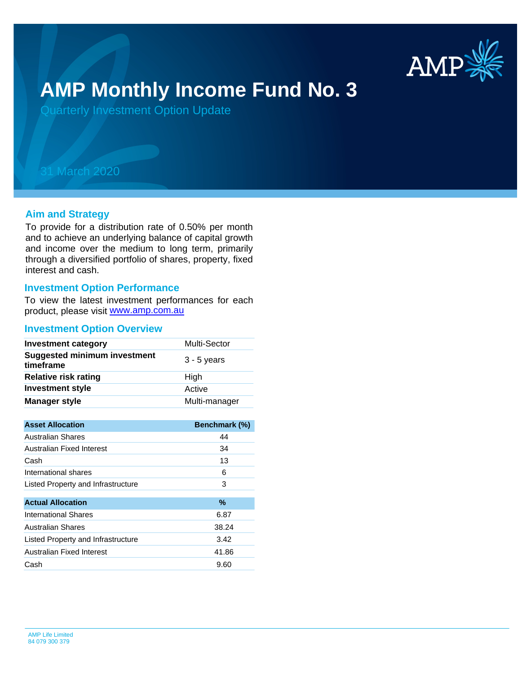

# **AMP Monthly Income Fund No. 3**

Quarterly Investment Option Update

## 31 March 2020

#### **Aim and Strategy**

To provide for a distribution rate of 0.50% per month and to achieve an underlying balance of capital growth and income over the medium to long term, primarily through a diversified portfolio of shares, property, fixed interest and cash.

#### **Investment Option Performance**

product, please visit [www.amp.com.au](https://www.amp.com.au) To view the latest investment performances for each

#### **Investment Option Overview**

| <b>Investment category</b>                       | Multi-Sector  |
|--------------------------------------------------|---------------|
| <b>Suggested minimum investment</b><br>timeframe | $3 - 5$ years |
| <b>Relative risk rating</b>                      | High          |
| <b>Investment style</b>                          | Active        |
| <b>Manager style</b>                             | Multi-manager |

| <b>Asset Allocation</b>            | Benchmark (%) |
|------------------------------------|---------------|
| Australian Shares                  | 44            |
| Australian Fixed Interest          | 34            |
| Cash                               | 13            |
| International shares               | 6             |
| Listed Property and Infrastructure | 3             |
|                                    |               |
| <b>Actual Allocation</b>           | $\%$          |
| <b>International Shares</b>        | 6.87          |
| <b>Australian Shares</b>           | 38.24         |
| Listed Property and Infrastructure | 3.42          |
| Australian Fixed Interest          | 41.86         |
| Cash                               | 9.60          |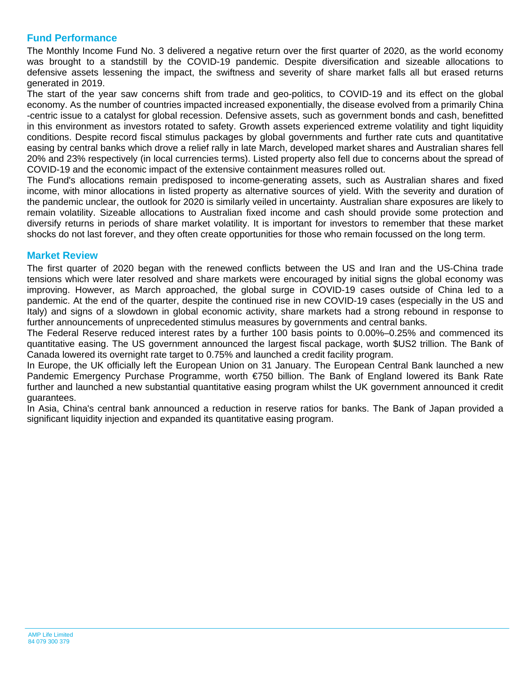### **Fund Performance**

The Monthly Income Fund No. 3 delivered a negative return over the first quarter of 2020, as the world economy was brought to a standstill by the COVID-19 pandemic. Despite diversification and sizeable allocations to defensive assets lessening the impact, the swiftness and severity of share market falls all but erased returns generated in 2019.

The start of the year saw concerns shift from trade and geo-politics, to COVID-19 and its effect on the global economy. As the number of countries impacted increased exponentially, the disease evolved from a primarily China -centric issue to a catalyst for global recession. Defensive assets, such as government bonds and cash, benefitted in this environment as investors rotated to safety. Growth assets experienced extreme volatility and tight liquidity conditions. Despite record fiscal stimulus packages by global governments and further rate cuts and quantitative easing by central banks which drove a relief rally in late March, developed market shares and Australian shares fell 20% and 23% respectively (in local currencies terms). Listed property also fell due to concerns about the spread of COVID-19 and the economic impact of the extensive containment measures rolled out.

The Fund's allocations remain predisposed to income-generating assets, such as Australian shares and fixed income, with minor allocations in listed property as alternative sources of yield. With the severity and duration of the pandemic unclear, the outlook for 2020 is similarly veiled in uncertainty. Australian share exposures are likely to remain volatility. Sizeable allocations to Australian fixed income and cash should provide some protection and diversify returns in periods of share market volatility. It is important for investors to remember that these market shocks do not last forever, and they often create opportunities for those who remain focussed on the long term.

#### **Market Review**

The first quarter of 2020 began with the renewed conflicts between the US and Iran and the US-China trade tensions which were later resolved and share markets were encouraged by initial signs the global economy was improving. However, as March approached, the global surge in COVID-19 cases outside of China led to a pandemic. At the end of the quarter, despite the continued rise in new COVID-19 cases (especially in the US and Italy) and signs of a slowdown in global economic activity, share markets had a strong rebound in response to further announcements of unprecedented stimulus measures by governments and central banks.

The Federal Reserve reduced interest rates by a further 100 basis points to 0.00%–0.25% and commenced its quantitative easing. The US government announced the largest fiscal package, worth \$US2 trillion. The Bank of Canada lowered its overnight rate target to 0.75% and launched a credit facility program.

In Europe, the UK officially left the European Union on 31 January. The European Central Bank launched a new Pandemic Emergency Purchase Programme, worth €750 billion. The Bank of England lowered its Bank Rate further and launched a new substantial quantitative easing program whilst the UK government announced it credit guarantees.

In Asia, China's central bank announced a reduction in reserve ratios for banks. The Bank of Japan provided a significant liquidity injection and expanded its quantitative easing program.